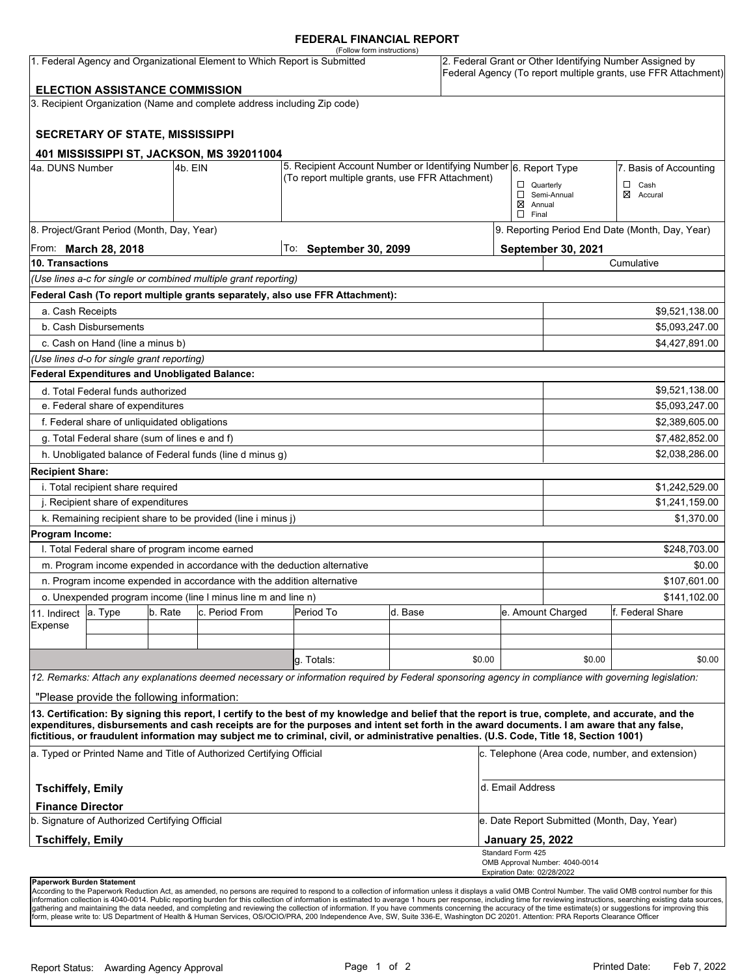### **FEDERAL FINANCIAL REPORT**

|                                                                            |                                                      |         |                                                                                                                     | (Follow form instructions)                                                                                                                                                                                                                                                                         |                        |                        |                                                                                                                            |                                              |                  |  |
|----------------------------------------------------------------------------|------------------------------------------------------|---------|---------------------------------------------------------------------------------------------------------------------|----------------------------------------------------------------------------------------------------------------------------------------------------------------------------------------------------------------------------------------------------------------------------------------------------|------------------------|------------------------|----------------------------------------------------------------------------------------------------------------------------|----------------------------------------------|------------------|--|
| 1. Federal Agency and Organizational Element to Which Report is Submitted  |                                                      |         |                                                                                                                     |                                                                                                                                                                                                                                                                                                    |                        |                        | 2. Federal Grant or Other Identifying Number Assigned by<br>Federal Agency (To report multiple grants, use FFR Attachment) |                                              |                  |  |
|                                                                            | <b>ELECTION ASSISTANCE COMMISSION</b>                |         |                                                                                                                     |                                                                                                                                                                                                                                                                                                    |                        |                        |                                                                                                                            |                                              |                  |  |
|                                                                            |                                                      |         | 3. Recipient Organization (Name and complete address including Zip code)                                            |                                                                                                                                                                                                                                                                                                    |                        |                        |                                                                                                                            |                                              |                  |  |
|                                                                            | <b>SECRETARY OF STATE, MISSISSIPPI</b>               |         |                                                                                                                     |                                                                                                                                                                                                                                                                                                    |                        |                        |                                                                                                                            |                                              |                  |  |
|                                                                            |                                                      |         | 401 MISSISSIPPI ST, JACKSON, MS 392011004                                                                           |                                                                                                                                                                                                                                                                                                    |                        |                        |                                                                                                                            |                                              |                  |  |
| 4a. DUNS Number<br>4b. EIN                                                 |                                                      |         | 5. Recipient Account Number or Identifying Number 6. Report Type<br>(To report multiple grants, use FFR Attachment) |                                                                                                                                                                                                                                                                                                    |                        | 7. Basis of Accounting |                                                                                                                            |                                              |                  |  |
|                                                                            |                                                      |         |                                                                                                                     |                                                                                                                                                                                                                                                                                                    |                        |                        | $\Box$ Quarterly                                                                                                           |                                              | $\Box$ Cash      |  |
|                                                                            |                                                      |         |                                                                                                                     |                                                                                                                                                                                                                                                                                                    |                        |                        | $\boxtimes$ Annual<br>$\Box$ Final                                                                                         | Semi-Annual                                  | ⊠<br>Accural     |  |
| 8. Project/Grant Period (Month, Day, Year)                                 |                                                      |         |                                                                                                                     |                                                                                                                                                                                                                                                                                                    |                        |                        | 9. Reporting Period End Date (Month, Day, Year)                                                                            |                                              |                  |  |
| From: <b>March 28, 2018</b>                                                |                                                      |         |                                                                                                                     |                                                                                                                                                                                                                                                                                                    | To: September 30, 2099 |                        |                                                                                                                            | September 30, 2021                           |                  |  |
| 10. Transactions                                                           |                                                      |         |                                                                                                                     |                                                                                                                                                                                                                                                                                                    |                        |                        |                                                                                                                            | Cumulative                                   |                  |  |
|                                                                            |                                                      |         | (Use lines a-c for single or combined multiple grant reporting)                                                     |                                                                                                                                                                                                                                                                                                    |                        |                        |                                                                                                                            |                                              |                  |  |
|                                                                            |                                                      |         |                                                                                                                     | Federal Cash (To report multiple grants separately, also use FFR Attachment):                                                                                                                                                                                                                      |                        |                        |                                                                                                                            |                                              |                  |  |
| a. Cash Receipts                                                           |                                                      |         |                                                                                                                     |                                                                                                                                                                                                                                                                                                    |                        |                        |                                                                                                                            |                                              | \$9,521,138.00   |  |
|                                                                            | b. Cash Disbursements                                |         |                                                                                                                     |                                                                                                                                                                                                                                                                                                    |                        |                        | \$5,093,247.00                                                                                                             |                                              |                  |  |
|                                                                            | c. Cash on Hand (line a minus b)                     |         |                                                                                                                     |                                                                                                                                                                                                                                                                                                    |                        |                        |                                                                                                                            |                                              | \$4,427,891.00   |  |
|                                                                            | (Use lines d-o for single grant reporting)           |         |                                                                                                                     |                                                                                                                                                                                                                                                                                                    |                        |                        |                                                                                                                            |                                              |                  |  |
|                                                                            | <b>Federal Expenditures and Unobligated Balance:</b> |         |                                                                                                                     |                                                                                                                                                                                                                                                                                                    |                        |                        |                                                                                                                            |                                              |                  |  |
|                                                                            | d. Total Federal funds authorized                    |         |                                                                                                                     |                                                                                                                                                                                                                                                                                                    |                        |                        |                                                                                                                            |                                              | \$9,521,138.00   |  |
| e. Federal share of expenditures                                           |                                                      |         |                                                                                                                     |                                                                                                                                                                                                                                                                                                    |                        |                        |                                                                                                                            |                                              | \$5,093,247.00   |  |
| f. Federal share of unliquidated obligations                               |                                                      |         |                                                                                                                     |                                                                                                                                                                                                                                                                                                    |                        |                        |                                                                                                                            |                                              | \$2,389,605.00   |  |
| g. Total Federal share (sum of lines e and f)                              |                                                      |         |                                                                                                                     |                                                                                                                                                                                                                                                                                                    |                        |                        |                                                                                                                            |                                              | \$7,482,852.00   |  |
|                                                                            |                                                      |         | h. Unobligated balance of Federal funds (line d minus g)                                                            |                                                                                                                                                                                                                                                                                                    |                        |                        |                                                                                                                            |                                              | \$2,038,286.00   |  |
| <b>Recipient Share:</b>                                                    |                                                      |         |                                                                                                                     |                                                                                                                                                                                                                                                                                                    |                        |                        |                                                                                                                            |                                              |                  |  |
| i. Total recipient share required                                          |                                                      |         |                                                                                                                     |                                                                                                                                                                                                                                                                                                    |                        |                        |                                                                                                                            |                                              | \$1,242,529.00   |  |
| j. Recipient share of expenditures                                         |                                                      |         |                                                                                                                     |                                                                                                                                                                                                                                                                                                    |                        |                        |                                                                                                                            | \$1,241,159.00                               |                  |  |
| k. Remaining recipient share to be provided (line i minus j)<br>\$1,370.00 |                                                      |         |                                                                                                                     |                                                                                                                                                                                                                                                                                                    |                        |                        |                                                                                                                            |                                              |                  |  |
| Program Income:                                                            |                                                      |         |                                                                                                                     |                                                                                                                                                                                                                                                                                                    |                        |                        |                                                                                                                            |                                              |                  |  |
|                                                                            | I. Total Federal share of program income earned      |         |                                                                                                                     |                                                                                                                                                                                                                                                                                                    |                        |                        |                                                                                                                            |                                              | \$248,703.00     |  |
|                                                                            |                                                      |         |                                                                                                                     | m. Program income expended in accordance with the deduction alternative                                                                                                                                                                                                                            |                        |                        |                                                                                                                            |                                              | \$0.00           |  |
|                                                                            |                                                      |         | n. Program income expended in accordance with the addition alternative                                              |                                                                                                                                                                                                                                                                                                    |                        |                        |                                                                                                                            |                                              | \$107,601.00     |  |
|                                                                            |                                                      |         | o. Unexpended program income (line I minus line m and line n)                                                       |                                                                                                                                                                                                                                                                                                    |                        |                        |                                                                                                                            | \$141,102.00                                 |                  |  |
| 11. Indirect                                                               | a. Type                                              | b. Rate | c. Period From                                                                                                      | Period To                                                                                                                                                                                                                                                                                          | d. Base                |                        |                                                                                                                            | e. Amount Charged                            | f. Federal Share |  |
| Expense                                                                    |                                                      |         |                                                                                                                     |                                                                                                                                                                                                                                                                                                    |                        |                        |                                                                                                                            |                                              |                  |  |
|                                                                            |                                                      |         |                                                                                                                     |                                                                                                                                                                                                                                                                                                    |                        |                        |                                                                                                                            |                                              |                  |  |
|                                                                            |                                                      |         |                                                                                                                     | g. Totals:                                                                                                                                                                                                                                                                                         |                        | \$0.00                 |                                                                                                                            | \$0.00                                       | \$0.00           |  |
|                                                                            |                                                      |         |                                                                                                                     | 12. Remarks: Attach any explanations deemed necessary or information required by Federal sponsoring agency in compliance with governing legislation:                                                                                                                                               |                        |                        |                                                                                                                            |                                              |                  |  |
|                                                                            | "Please provide the following information:           |         |                                                                                                                     |                                                                                                                                                                                                                                                                                                    |                        |                        |                                                                                                                            |                                              |                  |  |
|                                                                            |                                                      |         |                                                                                                                     | 13. Certification: By signing this report, I certify to the best of my knowledge and belief that the report is true, complete, and accurate, and the<br>expenditures, disbursements and cash receipts are for the purposes and intent set forth in the award documents. I am aware that any false, |                        |                        |                                                                                                                            |                                              |                  |  |
|                                                                            |                                                      |         |                                                                                                                     | fictitious, or fraudulent information may subject me to criminal, civil, or administrative penalties. (U.S. Code, Title 18, Section 1001)                                                                                                                                                          |                        |                        |                                                                                                                            |                                              |                  |  |
| a. Typed or Printed Name and Title of Authorized Certifying Official       |                                                      |         |                                                                                                                     |                                                                                                                                                                                                                                                                                                    |                        |                        | c. Telephone (Area code, number, and extension)                                                                            |                                              |                  |  |
| <b>Tschiffely, Emily</b>                                                   |                                                      |         |                                                                                                                     |                                                                                                                                                                                                                                                                                                    |                        |                        | d. Email Address                                                                                                           |                                              |                  |  |
| <b>Finance Director</b>                                                    |                                                      |         |                                                                                                                     |                                                                                                                                                                                                                                                                                                    |                        |                        |                                                                                                                            |                                              |                  |  |
| b. Signature of Authorized Certifying Official                             |                                                      |         |                                                                                                                     |                                                                                                                                                                                                                                                                                                    |                        |                        | e. Date Report Submitted (Month, Day, Year)                                                                                |                                              |                  |  |
| <b>Tschiffely, Emily</b>                                                   |                                                      |         |                                                                                                                     |                                                                                                                                                                                                                                                                                                    |                        |                        |                                                                                                                            | <b>January 25, 2022</b><br>Standard Form 425 |                  |  |
|                                                                            |                                                      |         |                                                                                                                     |                                                                                                                                                                                                                                                                                                    |                        |                        | Expiration Date: 02/28/2022                                                                                                | OMB Approval Number: 4040-0014               |                  |  |
| Paperwork Burden Statement                                                 |                                                      |         |                                                                                                                     |                                                                                                                                                                                                                                                                                                    |                        |                        |                                                                                                                            |                                              |                  |  |

According to the Paperwork Reduction Act, as amended, no persons are required to respond to a collection of information unless it displays a valid OMB Control Number. The valid OMB control number for this<br>information colle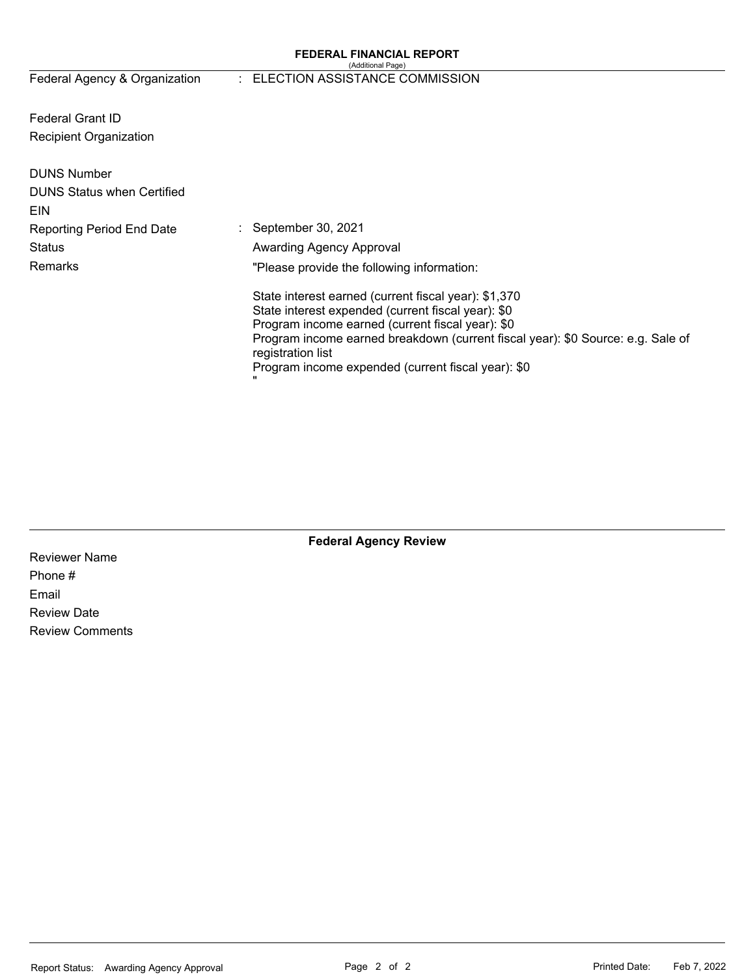#### **FEDERAL FINANCIAL REPORT**  (Additional Page)

# Federal Agency & Organization : ELECTION ASSISTANCE COMMISSION

Federal Grant ID Recipient Organization

| <b>DUNS Number</b><br><b>DUNS Status when Certified</b><br>EIN |                                                                                                                                                                                                                                                                                                                              |
|----------------------------------------------------------------|------------------------------------------------------------------------------------------------------------------------------------------------------------------------------------------------------------------------------------------------------------------------------------------------------------------------------|
| Reporting Period End Date                                      | $\therefore$ September 30, 2021                                                                                                                                                                                                                                                                                              |
| Status                                                         | <b>Awarding Agency Approval</b>                                                                                                                                                                                                                                                                                              |
| Remarks                                                        | "Please provide the following information:                                                                                                                                                                                                                                                                                   |
|                                                                | State interest earned (current fiscal year): \$1,370<br>State interest expended (current fiscal year): \$0<br>Program income earned (current fiscal year): \$0<br>Program income earned breakdown (current fiscal year): \$0 Source: e.g. Sale of<br>registration list<br>Program income expended (current fiscal year): \$0 |

**Federal Agency Review** 

Reviewer Name Phone # Email Review Date Review Comments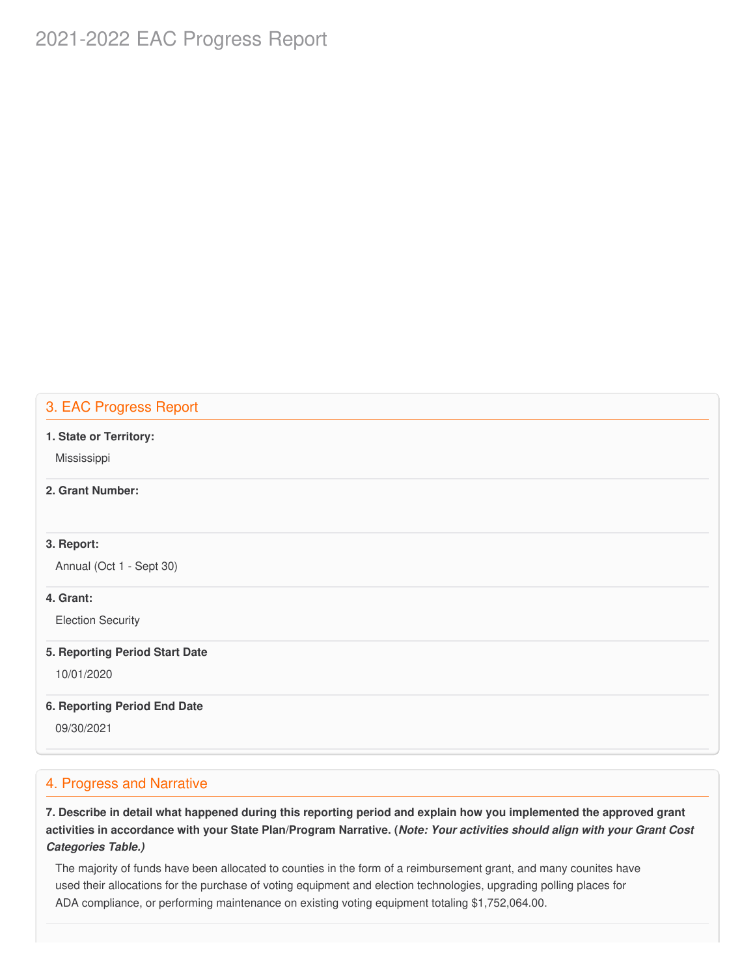# 2021-2022 EAC Progress Report

# 3. EAC Progress Report

#### **1. State or Territory:**

Mississippi

# **2. Grant Number:**

### **3. Report:**

Annual (Oct 1 - Sept 30)

### **4. Grant:**

Election Security

#### **5. Reporting Period Start Date**

10/01/2020

#### **6. Reporting Period End Date**

09/30/2021

### 4. Progress and Narrative

7. Describe in detail what happened during this reporting period and explain how you implemented the approved grant activities in accordance with your State Plan/Program Narrative. (*Note: Your activities should align with your Grant Cost Categories Table.)*

 The majority of funds have been allocated to counties in the form of a reimbursement grant, and many counites have used their allocations for the purchase of voting equipment and election technologies, upgrading polling places for ADA compliance, or performing maintenance on existing voting equipment totaling \$[1,752,064.00](https://1,752,064.00).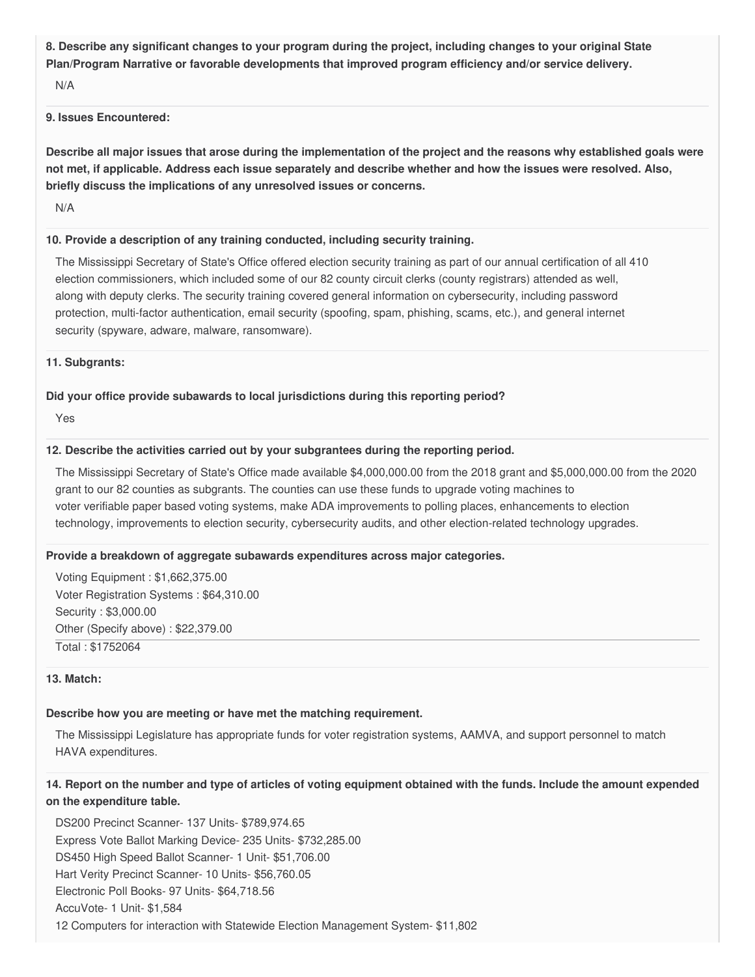8. Describe any significant changes to your program during the project, including changes to your original State  **Plan/Program Narrative or favorable developments that improved program efficiency and/or service delivery.**

N/A

### **9. Issues Encountered:**

Describe all major issues that arose during the implementation of the project and the reasons why established goals were not met, if applicable. Address each issue separately and describe whether and how the issues were resolved. Also,  **briefly discuss the implications of any unresolved issues or concerns.**

N/A

### **10. Provide a description of any training conducted, including security training.**

 The Mississippi Secretary of State's Office offered election security training as part of our annual certification of all 410 election commissioners, which included some of our 82 county circuit clerks (county registrars) attended as well, along with deputy clerks. The security training covered general information on cybersecurity, including password protection, multi-factor authentication, email security (spoofing, spam, phishing, scams, etc.), and general internet security (spyware, adware, malware, ransomware).

#### **11. Subgrants:**

### **Did your office provide subawards to local jurisdictions during this reporting period?**

Yes

### **12. Describe the activities carried out by your subgrantees during the reporting period.**

 The Mississippi Secretary of State's Office made available [\\$4,000,000.00](https://4,000,000.00) from the 2018 grant and \$[5,000,000.00](https://5,000,000.00) from the 2020 grant to our 82 counties as subgrants. The counties can use these funds to upgrade voting machines to voter verifiable paper based voting systems, make ADA improvements to polling places, enhancements to election technology, improvements to election security, cybersecurity audits, and other election-related technology upgrades.

### **Provide a breakdown of aggregate subawards expenditures across major categories.**

 Voting Equipment : [\\$1,662,375.00](https://1,662,375.00) Voter Registration Systems : [\\$64,310.00](https://64,310.00) Security : \$[3,000.00](https://3,000.00) Other (Specify above) : [\\$22,379.00](https://22,379.00) Total : \$1752064

### **13. Match:**

### **Describe how you are meeting or have met the matching requirement.**

 The Mississippi Legislature has appropriate funds for voter registration systems, AAMVA, and support personnel to match HAVA expenditures.

# 14. Report on the number and type of articles of voting equipment obtained with the funds. Include the amount expended  **on the expenditure table.**

 DS200 Precinct Scanner- 137 [Units- \\$789,974.65](https://Units-$789,974.65) Express Vote Ballot Marking Device- 235 [Units- \\$732,285.00](https://Units-$732,285.00) DS450 High Speed Ballot Scanner- 1 [Unit- \\$51,706.00](https://Unit-$51,706.00) Hart Verity Precinct Scanner- 10 [Units- \\$56,760.05](https://Units-$56,760.05) Electronic Poll Books- 97 [Units- \\$64,718.56](https://Units-$64,718.56) AccuVote- 1 Unit- \$1,584 12 Computers for interaction with Statewide Election Management System- \$11,802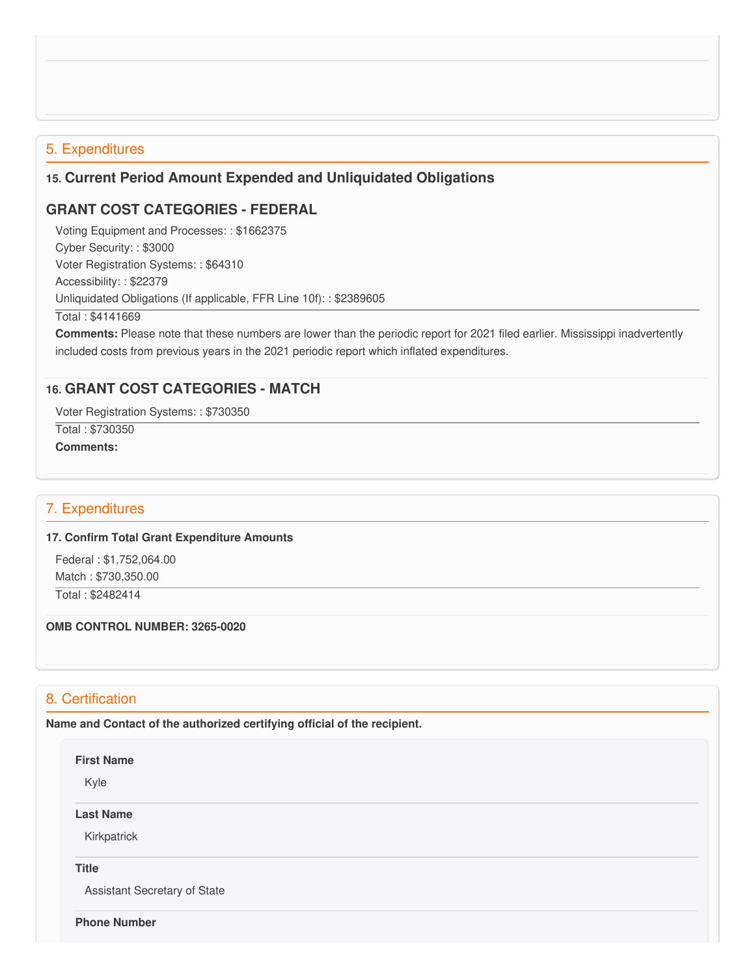### 5. Expenditures

# **15. Current Period Amount Expended and Unliquidated Obligations**

# **GRANT COST CATEGORIES - FEDERAL**

 Voting Equipment and Processes: : \$1662375 Cyber Security: : \$3000 Voter Registration Systems: : \$64310 Accessibility: : \$22379 Unliquidated Obligations (If applicable, FFR Line 10f): : \$2389605 Total : \$4141669

 **Comments:** Please note that these numbers are lower than the periodic report for 2021 filed earlier. Mississippi inadvertently included costs from previous years in the 2021 periodic report which inflated expenditures.

# **16. GRANT COST CATEGORIES - MATCH**

Voter Registration Systems: : \$730350

 Total : \$730350 **Comments:**

# 7. Expenditures

#### **17. Confirm Total Grant Expenditure Amounts**

 Federal : \$[1,752,064.00](https://1,752,064.00) Match : \$[730,350.00](https://730,350.00)

Total : \$2482414

#### **OMB CONTROL NUMBER: 3265-0020**

# 8. Certification

 **Name and Contact of the authorized certifying official of the recipient.**

#### **First Name**

Kyle

**Last Name**

Kirkpatrick

#### **Title**

Assistant Secretary of State

#### **Phone Number**